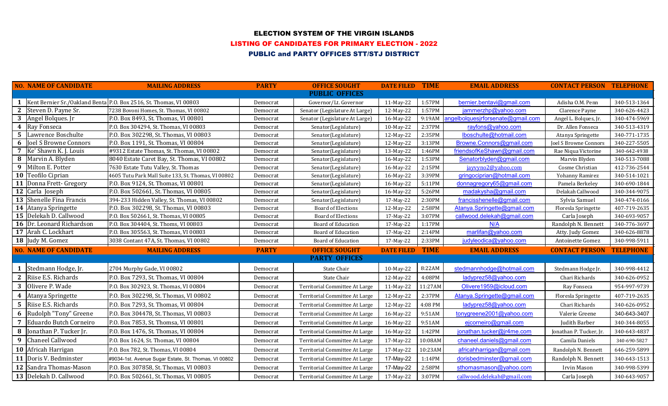# ELECTION SYSTEM OF THE VIRGIN ISLANDS

LISTING OF CANDIDATES FOR PRIMARY ELECTION - 2022

### PUBLIC and PARTY OFFICES STT/STJ DISTRICT

|                  | <b>NO. NAME OF CANDIDATE</b> | <b>MAILING ADDRESS</b>                                                 | <b>PARTY</b> | <b>OFFICE SOUGHT</b>           | <b>DATE FILED TIME</b> |             | <b>EMAIL ADDRESS</b>              | <b>CONTACT PERSON TELEPHONE</b> |                  |
|------------------|------------------------------|------------------------------------------------------------------------|--------------|--------------------------------|------------------------|-------------|-----------------------------------|---------------------------------|------------------|
|                  |                              |                                                                        |              | <b>PUBLIC OFFICES</b>          |                        |             |                                   |                                 |                  |
|                  |                              | 1   Kent Bernier Sr./Oakland Benta P.O. Box 2516, St. Thomas, VI 00803 | Democrat     | Governor/Lt. Governor          | 11-May-22              | 1:57PM      | bernier.bentavi@gmail.com         | Adisha O.M. Penn                | 340-513-1364     |
| $\mathbf{2}$     | Steven D. Payne Sr.          | 7238 Bovoni Homes, St. Thomas, VI 00802                                | Democrat     | Senator (Legislature At Large) | 12-May-22              | 1:57PM      | jammerzhp@yahoo.com               | Clarence Payne                  | 340-626-4423     |
| 3                | Angel Bolques. Jr            | P.O. Box 8493, St. Thomas, VI 00801                                    | Democrat     | Senator (Legislature At Large) | 16-May-22              | 9:19AM      | angelbolquesjrforsenate@gmail.com | Angel L. Bolques, Jr.           | 340-474-5969     |
|                  | 4 Ray Fonseca                | P.O. Box 304294, St. Thomas, VI 00803                                  | Democrat     | Senator(Legislature)           | 10-May-22              | 2:37PM      | rayfons@yahoo.com                 | Dr. Allen Fonseca               | 340-513-4319     |
| $5\phantom{1}$   | Lawrence Boschulte           | P.O. Box 302298, St. Thomas, VI 00803                                  | Democrat     | Senator(Legislature)           | 12-May-22              | 2:35PM      | lboschulte@hotmail.com            | Atanya Springette               | 340-771-1735     |
| 6                | Joel S Browne Connors        | P.O. Box 1191, St. Thomas, VI 00804                                    | Democrat     | Senator(Legislature)           | 12-May-22              | 3:13PM      | Browne.Connors@gmail.com          | Joel S Browne Connors           | 340-227-5505     |
| $\overline{7}$   | Ke' Shawn K. J. Louis        | #9312 Estate Thomas, St. Thomas, VI 00802                              | Democrat     | Senator(Legislature)           | 13-May-22              | 1:46PM      | friendsofKeShawn@gmail.com        | Rae Niqua Victorine             | 340-642-4938     |
| 8                | Marvin A. Blyden             | 8040 Estate Caret Bay, St. Thomas, VI 00802                            | Democrat     | Senator(Legislature)           | 16-May-22              | 1:53PM      | Senatorblyden@gmail.com           | Marvin Blyden                   | 340-513-7088     |
| 9                | Milton E. Potter             | 7630 Estate Tutu Valley, St. Thomas                                    | Democrat     | Senator(Legislature)           | 16-May-22              | 2:15PM      | javvyno2@vahoo.com                | Cosme Christian                 | 412-736-2544     |
|                  | 10 Teofilo Ciprian           | 4605 Tutu Park Mall Suite 133, St. Thomas, VI 00802                    | Democrat     | Senator(Legislature)           | 16-May-22              | 3:39PM      | gringociprian@hotmail.com         | Yohanny Ramirez                 | 340-514-1021     |
|                  | 11 Donna Frett- Gregory      | P.O. Box 9124, St. Thomas, VI 00801                                    | Democrat     | Senator(Legislature)           | 16-May-22              | 5:11PM      | donnagregory65@gmail.com          | Pamela Berkeley                 | 340-690-1844     |
|                  | 12 Carla Joseph              | P.O. Box 502661, St. Thomas, VI 00805                                  | Democrat     | Senator(Legislature)           | 16-May-22              | 5:26PM      | madakysha@gmail.com               | Delakah Callwood                | 340-344-9075     |
|                  | 13 Shenelle Fina Francis     | 394-233 Hidden Valley, St. Thomas, VI 00802                            | Democrat     | Senator(Legislature)           | 17-May-22              | 2:30PM      | francisshenelle@gmail.com         | Sylvia Samuel                   | 340-474-0166     |
|                  | 14 Atanya Springette         | P.O. Box 302298, St. Thomas, VI 00803                                  | Democrat     | <b>Board of Elections</b>      | 12-May-22              | 2:58PM      | Atanya.Springette@gmail.com       | Floresla Springette             | 407-719-2635     |
|                  | 15 Delekah D. Callwood       | P.O. Box 502661, St. Thomas, VI 00805                                  | Democrat     | <b>Board of Elections</b>      | 17-May-22              | 3:07PM      | callwood.delekah@gmail.com        | Carla Joseph                    | 340-693-9057     |
|                  | 16 Dr. Leonard Richardson    | P.O. Box 304404, St. Thoms, VI 00803                                   | Democrat     | <b>Board of Education</b>      | 17-May-22              | 1:17PM      | N/A                               | Randolph N. Bennett             | 340-776-3697     |
|                  | 17 Arah C. Lockhart          | P.O. Box 305563, St. Thomas, VI 00803                                  | Democrat     | <b>Board of Education</b>      | 17-May-22              | 2:14PM      | marlifan@yahoo.com                | Atty. Judy Gomez                | 340-626-8878     |
|                  | 18 Judy M. Gomez             | 3038 Contant 47A, St. Thomas, VI 00802                                 | Democrat     | Board of Education             | 17-May-22              | 2:33PM      | judyleodica@yahoo.com             | Antoinette Gomez                | 340-998-5911     |
|                  | <b>NO. NAME OF CANDIDATE</b> | <b>MAILING ADDRESS</b>                                                 | <b>PARTY</b> | <b>OFFICE SOUGHT</b>           | <b>DATE FILED</b>      | <b>TIME</b> | <b>EMAIL ADDRESS</b>              | <b>CONTACT PERSON</b>           | <b>TELEPHONE</b> |
|                  |                              |                                                                        |              | <b>PARTY OFFICES</b>           |                        |             |                                   |                                 |                  |
|                  | Stedmann Hodge, Jr.          | 2704 Murphy Gade, VI 00802                                             | Democrat     | State Chair                    | 10-May-22              | 8:22AM      | stedmannhodge@hotmail.com         | Stedmann Hodge Jr.              | 340-998-4412     |
| $\mathbf{2}$     | Riise E.S. Richards          | P.O. Box 7293, St. Thomas, VI 00804                                    | Democrat     | State Chair                    | 12-May-22              | 4:08PM      | ladyprez58@yahoo.com              | Chari Richards                  | 340-626-0952     |
| 3                | Olivere P. Wade              | P.O. Box 302923, St. Thomas, VI 00804                                  | Democrat     | Territorial Committee At Large | 11-May-22              | 11:27AM     | Olivere1959@icloud.com            | Ray Fonseca                     | 954-997-9739     |
| $\boldsymbol{4}$ | Atanya Springette            | P.O. Box 302298, St. Thomas, VI 00802                                  | Democrat     | Territorial Committee At Large | 12-May-22              | 2:37PM      | Atanya.Springette@gmail.com       | Floresla Springette             | 407-719-2635     |
| 5                | Riise E.S. Richards          | P.O. Box 7293, St. Thomas, VI 00804                                    | Democrat     | Territorial Committee At Large | 12-May-22              | 4:08 PM     | ladyprez58@yahoo.com              | Chari Richards                  | 340-626-0952     |
| 6                | Rudolph "Tony" Greene        | P.O. Box 304478, St. Thomas, VI 00803                                  | Democrat     | Territorial Committee At Large | 16-May-22              | 9:51AM      | tonygreene2001@yahoo.com          | Valerie Greene                  | 340-643-3407     |
| $\overline{7}$   | Eduardo Butch Corneiro       | P.O. Box 7853, St. Thomsa, VI 00801                                    | Democrat     | Territorial Committee At Large | 16-May-22              | 9:51AM      | ejcorneiro@gmail.com              | Judith Barber                   | 340-344-8055     |
| 8                | Jonathan P. Tucker Jr.       | P.O. Box 1476, St. Thomas, VI 00804                                    | Democrat     | Territorial Committee At Large | 16-May-22              | 1:42PM      | jonathan.tucker@jr4me.com         | Jonathan P. Tucker, Jr.         | 340-643-4837     |
| 9                | Chaneel Callwood             | P.O. Box 1624, St. Thomas, VI 00804                                    | Democrat     | Territorial Committee At Large | 17-May-22              | 10:08AM     | chaneel.daniels@gmail.com         | Camila Daniels                  | 340-690-5827     |
|                  | 10 Africah Harrigan          | P.O. Box 782, St. Thomas, VI 00804                                     | Democrat     | Territorial Committee At Large | 17-May-22              | 10:23AM     | africahharrigan@gmail.com         | Randolph N. Bennett             | 646-259-5899     |
|                  | 11 Doris V. Bedminster       | #9034-1st. Avenue Sugar Estate, St. Thomas, VI 00802                   | Democrat     | Territorial Committee At Large | 17-May-22              | 1:14PM      | dorisbedminster@gmail.com         | Randolph N. Bennett             | 340-643-1513     |
|                  | 12 Sandra Thomas-Mason       | P.O. Box 307858, St. Thomas, VI 00803                                  | Democrat     | Territorial Committee At Large | 17-May-22              | 2:58PM      | sthomasmason@yahoo.com            | Irvin Mason                     | 340-998-5399     |
|                  | 13 Delekah D. Callwood       | P.O. Box 502661, St. Thomas, VI 00805                                  | Democrat     | Territorial Committee At Large | 17-May-22              | 3:07PM      | callwood.delekah@gmail.com        | Carla Joseph                    | 340-643-9057     |